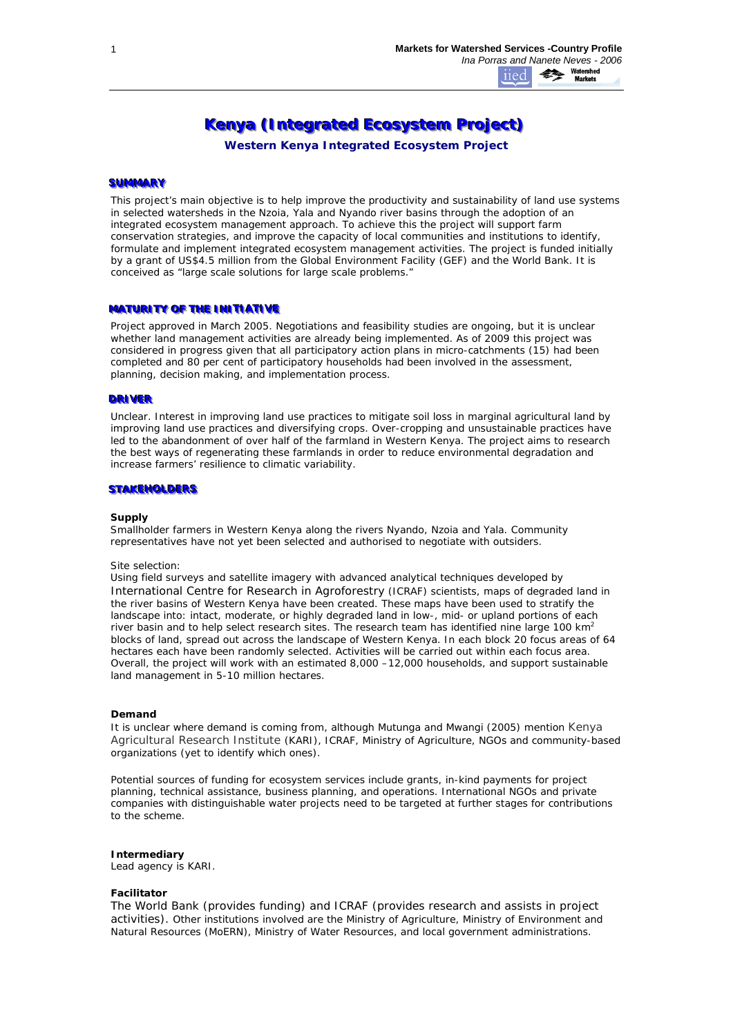# Kenya (Integrated Ecosystem Project)

*Western Kenya Integrated Ecosystem Project*

# **SUMMARY**

This project's main objective is to help improve the productivity and sustainability of land use systems in selected watersheds in the Nzoia, Yala and Nyando river basins through the adoption of an integrated ecosystem management approach. To achieve this the project will support farm conservation strategies, and improve the capacity of local communities and institutions to identify, formulate and implement integrated ecosystem management activities. The project is funded initially by a grant of US\$4.5 million from the Global Environment Facility (GEF) and the World Bank. It is conceived as "*large scale solutions for large scale problems*."

#### **MATURITY OF THE INITIATIVE**

Project approved in March 2005. Negotiations and feasibility studies are ongoing, but it is unclear whether land management activities are already being implemented. As of 2009 this project was considered in progress given that all participatory action plans in micro-catchments (15) had been completed and 80 per cent of participatory households had been involved in the assessment, planning, decision making, and implementation process.

# **DRIVER**

Unclear. Interest in improving land use practices to mitigate soil loss in marginal agricultural land by improving land use practices and diversifying crops. Over-cropping and unsustainable practices have led to the abandonment of over half of the farmland in Western Kenya. The project aims to research the best ways of regenerating these farmlands in order to reduce environmental degradation and increase farmers' resilience to climatic variability.

#### **STAKEHOLDERS**

#### **Supply**

Smallholder farmers in Western Kenya along the rivers Nyando, Nzoia and Yala. Community representatives have not yet been selected and authorised to negotiate with outsiders.

#### *Site selection:*

Using field surveys and satellite imagery with advanced analytical techniques developed by International Centre for Research in Agroforestry (ICRAF) scientists, maps of degraded land in the river basins of Western Kenya have been created. These maps have been used to stratify the landscape into: intact, moderate, or highly degraded land in low-, mid- or upland portions of each river basin and to help select research sites. The research team has identified nine large 100  $km^2$ blocks of land, spread out across the landscape of Western Kenya. In each block 20 focus areas of 64 hectares each have been randomly selected. Activities will be carried out within each focus area. Overall, the project will work with an estimated 8,000 –12,000 households, and support sustainable land management in 5-10 million hectares.

#### **Demand**

*It is unclear* where demand is coming from, although Mutunga and Mwangi (2005) mention Kenya Agricultural Research Institute (KARI), ICRAF, Ministry of Agriculture, NGOs and community-based organizations (yet to identify which ones).

Potential sources of funding for ecosystem services include grants, in-kind payments for project planning, technical assistance, business planning, and operations. International NGOs and private companies with distinguishable water projects need to be targeted at further stages for contributions to the scheme.

#### **Intermediary**

Lead agency is KARI.

#### **Facilitator**

The World Bank (provides funding) and ICRAF (provides research and assists in project activities). Other institutions involved are the Ministry of Agriculture, Ministry of Environment and Natural Resources (MoERN), Ministry of Water Resources, and local government administrations.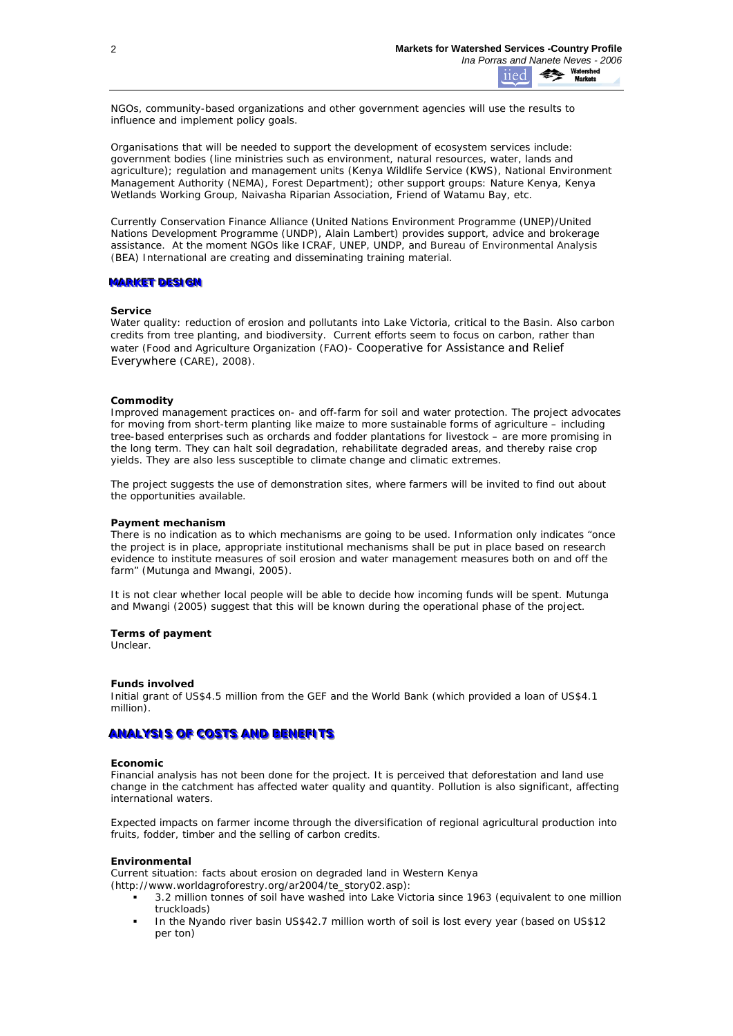NGOs, community-based organizations and other government agencies will use the results to influence and implement policy goals.

Organisations that will be needed to support the development of ecosystem services include: government bodies (line ministries such as environment, natural resources, water, lands and agriculture); regulation and management units (Kenya Wildlife Service (KWS), National Environment Management Authority (NEMA), Forest Department); other support groups: Nature Kenya, Kenya Wetlands Working Group, Naivasha Riparian Association, Friend of Watamu Bay, etc.

Currently Conservation Finance Alliance (United Nations Environment Programme (UNEP)/United Nations Development Programme (UNDP), Alain Lambert) provides support, advice and brokerage assistance. At the moment NGOs like ICRAF, UNEP, UNDP, and Bureau of Environmental Analysis (BEA) International are creating and disseminating training material.

## **MARKET DESIGN**

#### **Service**

*Water quality:* reduction of erosion and pollutants into Lake Victoria, critical to the Basin. Also carbon credits from tree planting, and biodiversity. Current efforts seem to focus on carbon, rather than water (Food and Agriculture Organization (FAO)- [Cooperative for Assistance and Relief](#page-3-0)  [Everywhere](#page-3-0) (CARE), 2008).

## **Commodity**

*Improved management practices* on- and off-farm for soil and water protection. The project advocates for moving from short-term planting like maize to more sustainable forms of agriculture – including tree-based enterprises such as orchards and fodder plantations for livestock – are more promising in the long term. They can halt soil degradation, rehabilitate degraded areas, and thereby raise crop yields. They are also less susceptible to climate change and climatic extremes.

The project suggests the use of demonstration sites, where farmers will be invited to find out about the opportunities available.

#### **Payment mechanism**

There is no indication as to which mechanisms are going to be used. Information only indicates "once the project is in place, appropriate institutional mechanisms shall be put in place based on research evidence to institute measures of soil erosion and water management measures both on and off the farm" (Mutunga and Mwangi, 2005).

It is not clear whether local people will be able to decide how incoming funds will be spent. Mutunga and Mwangi (2005) suggest that this will be known during the operational phase of the project.

#### **Terms of payment**

Unclear.

#### **Funds involved**

Initial grant of US\$4.5 million from the GEF and the World Bank (which provided a loan of US\$4.1 million).

# **ANALYSIS OF COSTS AND BENEFITS**

#### **Economic**

Financial analysis has not been done for the project. It is perceived that deforestation and land use change in the catchment has affected water quality and quantity. Pollution is also significant, affecting international waters.

*Expected impacts on farmer income* through the diversification of regional agricultural production into fruits, fodder, timber and the selling of carbon credits.

#### **Environmental**

*Current situation: facts about erosion on degraded land in Western Kenya (http://www.worldagroforestry.org/ar2004/te\_story02.asp):* 

- 3.2 million tonnes of soil have washed into Lake Victoria since 1963 (equivalent to one million truckloads)
- In the Nyando river basin US\$42.7 million worth of soil is lost every year (based on US\$12 per ton)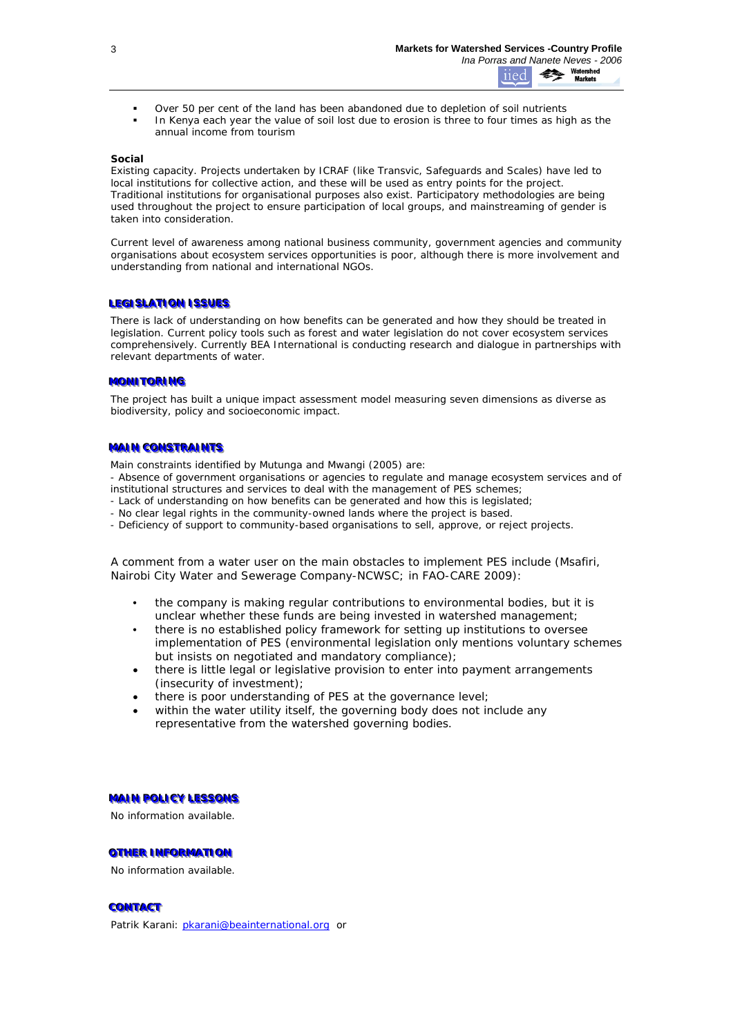- Over 50 per cent of the land has been abandoned due to depletion of soil nutrients
- In Kenya each year the value of soil lost due to erosion is three to four times as high as the annual income from tourism

## **Social**

*Existing capacity*. Projects undertaken by ICRAF (like Transvic, Safeguards and Scales) have led to local institutions for collective action, and these will be used as entry points for the project. Traditional institutions for organisational purposes also exist. Participatory methodologies are being used throughout the project to ensure participation of local groups, and mainstreaming of gender is taken into consideration.

Current level of awareness among national business community, government agencies and community organisations about ecosystem services opportunities is poor, although there is more involvement and understanding from national and international NGOs.

## LEGISLATION ISSUES

There is lack of understanding on how benefits can be generated and how they should be treated in legislation. Current policy tools such as forest and water legislation do not cover ecosystem services comprehensively. Currently BEA International is conducting research and dialogue in partnerships with relevant departments of water.

### **MONITORING**

The project has built a unique impact assessment model measuring seven dimensions as diverse as biodiversity, policy and socioeconomic impact.

## **MAIN CONSTRAINTS**

Main constraints identified by Mutunga and Mwangi (2005) are:

- Absence of government organisations or agencies to regulate and manage ecosystem services and of institutional structures and services to deal with the management of PES schemes;

- Lack of understanding on how benefits can be generated and how this is legislated;
- No clear legal rights in the community-owned lands where the project is based.
- Deficiency of support to community-based organisations to sell, approve, or reject projects.

A comment from a water user on the main obstacles to implement PES include (Msafiri, Nairobi City Water and Sewerage Company-NCWSC; in FAO-CARE 2009):

- the company is making regular contributions to environmental bodies, but it is unclear whether these funds are being invested in watershed management;
- there is no established policy framework for setting up institutions to oversee implementation of PES (environmental legislation only mentions voluntary schemes but insists on negotiated and mandatory compliance);
- there is little legal or legislative provision to enter into payment arrangements (insecurity of investment);
- there is poor understanding of PES at the governance level;
- within the water utility itself, the governing body does not include any representative from the watershed governing bodies.

#### **MAIN POLICY LESSONS**

No information available.

# **OTHER INFORMATION**

No information available.

# **CONTACT**

Patrik Karani: [pkarani@beainternational.org](mailto:pkarani@beainternational.org) or